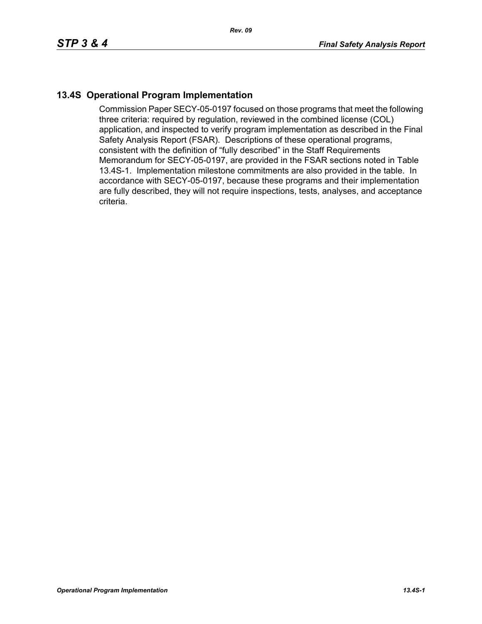## **13.4S Operational Program Implementation**

Commission Paper SECY-05-0197 focused on those programs that meet the following three criteria: required by regulation, reviewed in the combined license (COL) application, and inspected to verify program implementation as described in the Final Safety Analysis Report (FSAR). Descriptions of these operational programs, consistent with the definition of "fully described" in the Staff Requirements Memorandum for SECY-05-0197, are provided in the FSAR sections noted in Table 13.4S-1. Implementation milestone commitments are also provided in the table. In accordance with SECY-05-0197, because these programs and their implementation are fully described, they will not require inspections, tests, analyses, and acceptance criteria.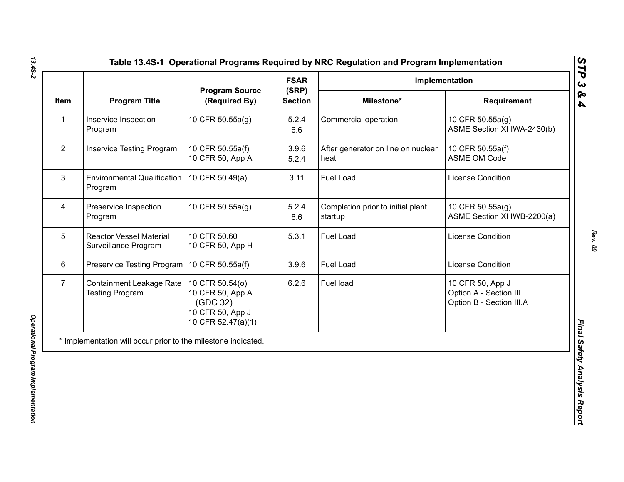|                |                                                        | <b>Program Source</b><br>(Required By)                                                    | <b>FSAR</b>             | Implementation                               |                                                                        |
|----------------|--------------------------------------------------------|-------------------------------------------------------------------------------------------|-------------------------|----------------------------------------------|------------------------------------------------------------------------|
| <b>Item</b>    | <b>Program Title</b>                                   |                                                                                           | (SRP)<br><b>Section</b> | Milestone*                                   | Requirement                                                            |
| $\mathbf{1}$   | Inservice Inspection<br>Program                        | 10 CFR 50.55a(g)                                                                          | 5.2.4<br>6.6            | Commercial operation                         | 10 CFR 50.55a(g)<br>ASME Section XI IWA-2430(b)                        |
| $\overline{2}$ | <b>Inservice Testing Program</b>                       | 10 CFR 50.55a(f)<br>10 CFR 50, App A                                                      | 3.9.6<br>5.2.4          | After generator on line on nuclear<br>heat   | 10 CFR 50.55a(f)<br><b>ASME OM Code</b>                                |
| 3              | <b>Environmental Qualification</b><br>Program          | 10 CFR 50.49(a)                                                                           | 3.11                    | Fuel Load                                    | License Condition                                                      |
| $\overline{4}$ | Preservice Inspection<br>Program                       | 10 CFR 50.55a(g)                                                                          | 5.2.4<br>6.6            | Completion prior to initial plant<br>startup | 10 CFR 50.55a(g)<br>ASME Section XI IWB-2200(a)                        |
| 5              | <b>Reactor Vessel Material</b><br>Surveillance Program | 10 CFR 50.60<br>10 CFR 50, App H                                                          | 5.3.1                   | Fuel Load                                    | <b>License Condition</b>                                               |
| 6              | Preservice Testing Program   10 CFR 50.55a(f)          |                                                                                           | 3.9.6                   | <b>Fuel Load</b>                             | <b>License Condition</b>                                               |
| $\overline{7}$ | Containment Leakage Rate<br><b>Testing Program</b>     | 10 CFR 50.54(o)<br>10 CFR 50, App A<br>(GDC 32)<br>10 CFR 50, App J<br>10 CFR 52.47(a)(1) | 6.2.6                   | Fuel load                                    | 10 CFR 50, App J<br>Option A - Section III<br>Option B - Section III.A |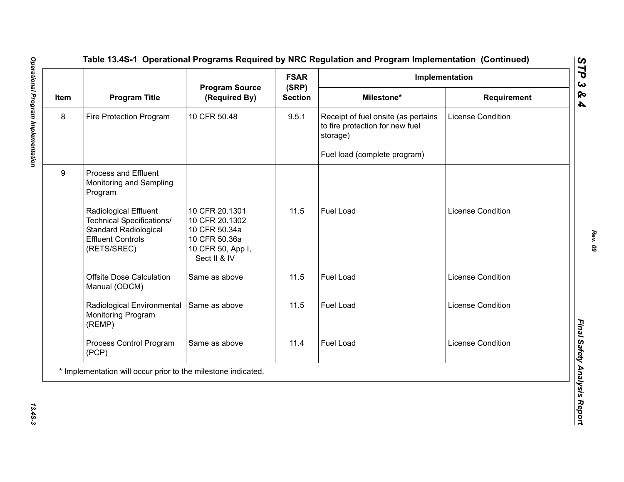|      |                                                                                                                                             |                                                                                                         | <b>FSAR</b>             | Implementation                                                                     |                          |  |
|------|---------------------------------------------------------------------------------------------------------------------------------------------|---------------------------------------------------------------------------------------------------------|-------------------------|------------------------------------------------------------------------------------|--------------------------|--|
| Item | <b>Program Title</b>                                                                                                                        | <b>Program Source</b><br>(Required By)                                                                  | (SRP)<br><b>Section</b> | Milestone*                                                                         | Requirement              |  |
| 8    | Fire Protection Program                                                                                                                     | 10 CFR 50.48                                                                                            | 9.5.1                   | Receipt of fuel onsite (as pertains<br>to fire protection for new fuel<br>storage) | <b>License Condition</b> |  |
|      |                                                                                                                                             |                                                                                                         |                         | Fuel load (complete program)                                                       |                          |  |
| 9    | <b>Process and Effluent</b><br>Monitoring and Sampling<br>Program                                                                           |                                                                                                         |                         |                                                                                    |                          |  |
|      | <b>Radiological Effluent</b><br><b>Technical Specifications/</b><br><b>Standard Radiological</b><br><b>Effluent Controls</b><br>(RETS/SREC) | 10 CFR 20.1301<br>10 CFR 20.1302<br>10 CFR 50.34a<br>10 CFR 50.36a<br>10 CFR 50, App I,<br>Sect II & IV | 11.5                    | <b>Fuel Load</b>                                                                   | <b>License Condition</b> |  |
|      | <b>Offsite Dose Calculation</b><br>Manual (ODCM)                                                                                            | Same as above                                                                                           | 11.5                    | Fuel Load                                                                          | <b>License Condition</b> |  |
|      | Radiological Environmental<br>Monitoring Program<br>(REMP)                                                                                  | Same as above                                                                                           | 11.5                    | <b>Fuel Load</b>                                                                   | <b>License Condition</b> |  |
|      | Process Control Program<br>(PCP)                                                                                                            | Same as above                                                                                           | 11.4                    | <b>Fuel Load</b>                                                                   | <b>License Condition</b> |  |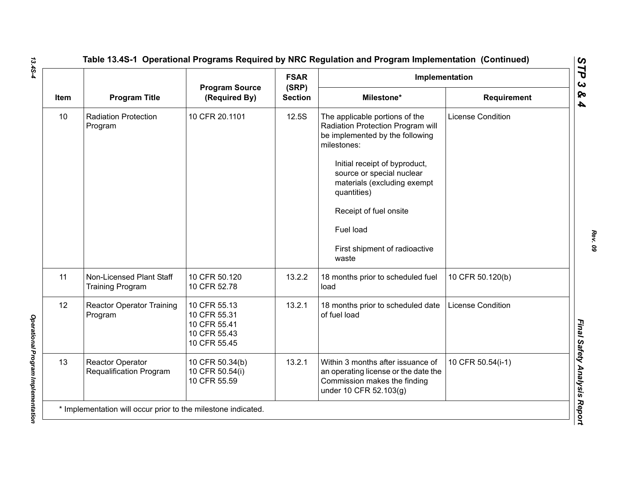|      |                                                     | <b>Program Source</b><br>(Required By)                                       | <b>FSAR</b>             | Implementation                                                                                                                                                                                                                                                                                                     |                          |
|------|-----------------------------------------------------|------------------------------------------------------------------------------|-------------------------|--------------------------------------------------------------------------------------------------------------------------------------------------------------------------------------------------------------------------------------------------------------------------------------------------------------------|--------------------------|
| Item | <b>Program Title</b>                                |                                                                              | (SRP)<br><b>Section</b> | Milestone*                                                                                                                                                                                                                                                                                                         | Requirement              |
| 10   | <b>Radiation Protection</b><br>Program              | 10 CFR 20.1101                                                               | 12.5S                   | The applicable portions of the<br>Radiation Protection Program will<br>be implemented by the following<br>milestones:<br>Initial receipt of byproduct,<br>source or special nuclear<br>materials (excluding exempt<br>quantities)<br>Receipt of fuel onsite<br>Fuel load<br>First shipment of radioactive<br>waste | <b>License Condition</b> |
| 11   | Non-Licensed Plant Staff<br><b>Training Program</b> | 10 CFR 50.120<br>10 CFR 52.78                                                | 13.2.2                  | 18 months prior to scheduled fuel<br>load                                                                                                                                                                                                                                                                          | 10 CFR 50.120(b)         |
| 12   | <b>Reactor Operator Training</b><br>Program         | 10 CFR 55.13<br>10 CFR 55.31<br>10 CFR 55.41<br>10 CFR 55.43<br>10 CFR 55.45 | 13.2.1                  | 18 months prior to scheduled date<br>of fuel load                                                                                                                                                                                                                                                                  | <b>License Condition</b> |
| 13   | Reactor Operator<br>Requalification Program         | 10 CFR 50.34(b)<br>10 CFR 50.54(i)<br>10 CFR 55.59                           | 13.2.1                  | Within 3 months after issuance of<br>an operating license or the date the<br>Commission makes the finding<br>under 10 CFR 52.103(g)                                                                                                                                                                                | 10 CFR 50.54(i-1)        |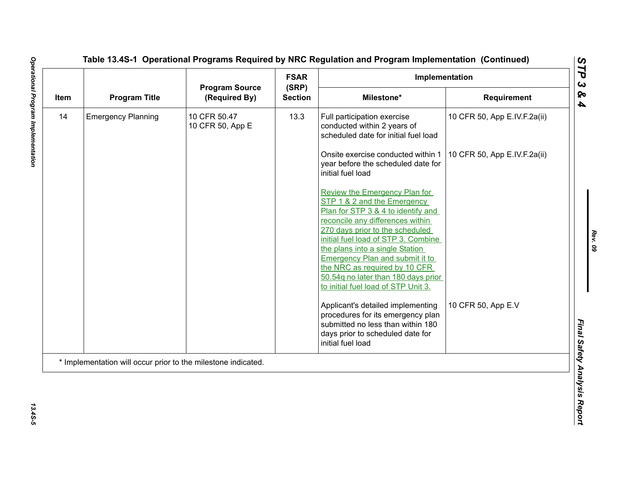| Item | <b>Program Title</b>                                          |                                        | <b>FSAR</b>                                                                                                                                         | Implementation                                                                                                                                                       |                              |
|------|---------------------------------------------------------------|----------------------------------------|-----------------------------------------------------------------------------------------------------------------------------------------------------|----------------------------------------------------------------------------------------------------------------------------------------------------------------------|------------------------------|
|      |                                                               | <b>Program Source</b><br>(Required By) | (SRP)<br><b>Section</b>                                                                                                                             | Milestone*                                                                                                                                                           | Requirement                  |
| 14   | <b>Emergency Planning</b>                                     | 10 CFR 50.47<br>10 CFR 50, App E       | 13.3                                                                                                                                                | Full participation exercise<br>conducted within 2 years of<br>scheduled date for initial fuel load                                                                   | 10 CFR 50, App E.IV.F.2a(ii) |
|      |                                                               |                                        |                                                                                                                                                     | Onsite exercise conducted within 1<br>year before the scheduled date for<br>initial fuel load                                                                        | 10 CFR 50, App E.IV.F.2a(ii) |
|      |                                                               |                                        |                                                                                                                                                     | Review the Emergency Plan for<br>STP 1 & 2 and the Emergency<br>Plan for STP 3 & 4 to identify and<br>reconcile any differences within                               |                              |
|      |                                                               |                                        | 270 days prior to the scheduled<br>initial fuel load of STP 3. Combine<br>the plans into a single Station<br><b>Emergency Plan and submit it to</b> |                                                                                                                                                                      |                              |
|      |                                                               |                                        |                                                                                                                                                     | the NRC as required by 10 CFR<br>50.54g no later than 180 days prior<br>to initial fuel load of STP Unit 3.                                                          |                              |
|      |                                                               |                                        |                                                                                                                                                     | Applicant's detailed implementing<br>procedures for its emergency plan<br>submitted no less than within 180<br>days prior to scheduled date for<br>initial fuel load | 10 CFR 50, App E.V           |
|      | * Implementation will occur prior to the milestone indicated. |                                        |                                                                                                                                                     |                                                                                                                                                                      |                              |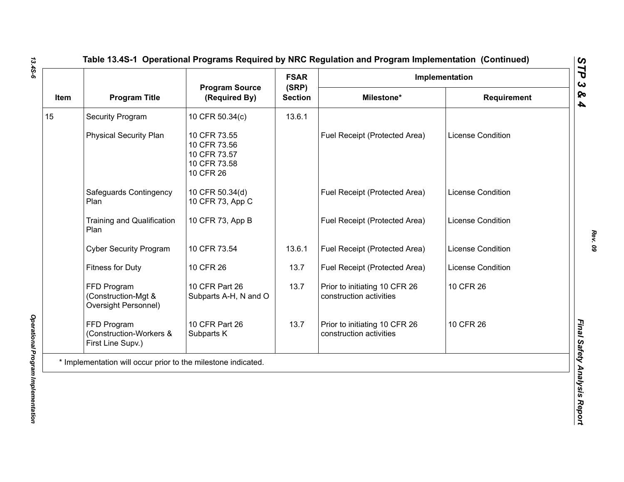| Item | <b>Program Title</b>                                          | <b>Program Source</b><br>(Required By)                                    | <b>FSAR</b>             | Implementation                                           |                          |
|------|---------------------------------------------------------------|---------------------------------------------------------------------------|-------------------------|----------------------------------------------------------|--------------------------|
|      |                                                               |                                                                           | (SRP)<br><b>Section</b> | Milestone*                                               | <b>Requirement</b>       |
| 15   | <b>Security Program</b>                                       | 10 CFR 50.34(c)                                                           | 13.6.1                  |                                                          |                          |
|      | <b>Physical Security Plan</b>                                 | 10 CFR 73.55<br>10 CFR 73.56<br>10 CFR 73.57<br>10 CFR 73.58<br>10 CFR 26 |                         | Fuel Receipt (Protected Area)                            | <b>License Condition</b> |
|      | Safeguards Contingency<br>Plan                                | 10 CFR 50.34(d)<br>10 CFR 73, App C                                       |                         | Fuel Receipt (Protected Area)                            | <b>License Condition</b> |
|      | <b>Training and Qualification</b><br>Plan                     | 10 CFR 73, App B                                                          |                         | Fuel Receipt (Protected Area)                            | <b>License Condition</b> |
|      | <b>Cyber Security Program</b>                                 | 10 CFR 73.54                                                              | 13.6.1                  | Fuel Receipt (Protected Area)                            | <b>License Condition</b> |
|      | <b>Fitness for Duty</b>                                       | 10 CFR 26                                                                 | 13.7                    | Fuel Receipt (Protected Area)                            | License Condition        |
|      | FFD Program<br>(Construction-Mgt &<br>Oversight Personnel)    | 10 CFR Part 26<br>Subparts A-H, N and O                                   | 13.7                    | Prior to initiating 10 CFR 26<br>construction activities | 10 CFR 26                |
|      | FFD Program<br>(Construction-Workers &<br>First Line Supv.)   | 10 CFR Part 26<br>Subparts K                                              | 13.7                    | Prior to initiating 10 CFR 26<br>construction activities | 10 CFR 26                |
|      | * Implementation will occur prior to the milestone indicated. |                                                                           |                         |                                                          |                          |

*13.4S-6*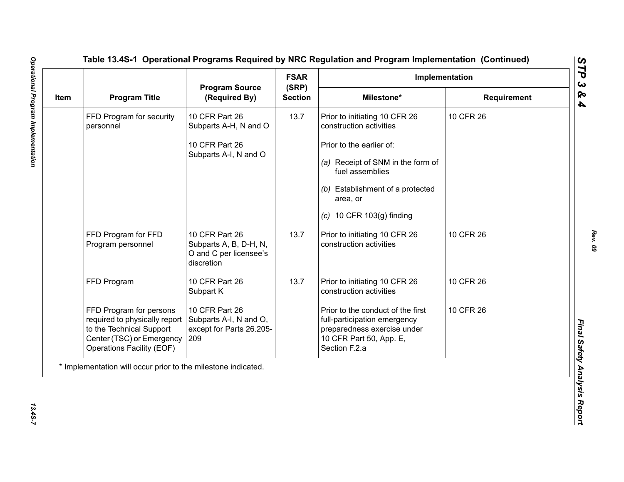| Item |                                                                                                                                                       |                                                                                  | <b>FSAR</b><br>(SRP)<br><b>Section</b> | Implementation                                                                                                                               |                    |
|------|-------------------------------------------------------------------------------------------------------------------------------------------------------|----------------------------------------------------------------------------------|----------------------------------------|----------------------------------------------------------------------------------------------------------------------------------------------|--------------------|
|      | <b>Program Title</b>                                                                                                                                  | <b>Program Source</b><br>(Required By)                                           |                                        | Milestone*                                                                                                                                   | <b>Requirement</b> |
|      | FFD Program for security<br>personnel                                                                                                                 | 10 CFR Part 26<br>Subparts A-H, N and O                                          | 13.7                                   | Prior to initiating 10 CFR 26<br>construction activities                                                                                     | 10 CFR 26          |
|      |                                                                                                                                                       | 10 CFR Part 26                                                                   |                                        | Prior to the earlier of:                                                                                                                     |                    |
|      |                                                                                                                                                       | Subparts A-I, N and O                                                            |                                        | (a) Receipt of SNM in the form of<br>fuel assemblies                                                                                         |                    |
|      |                                                                                                                                                       |                                                                                  |                                        | (b) Establishment of a protected<br>area, or                                                                                                 |                    |
|      |                                                                                                                                                       |                                                                                  |                                        | $(c)$ 10 CFR 103 $(g)$ finding                                                                                                               |                    |
|      | FFD Program for FFD<br>Program personnel                                                                                                              | 10 CFR Part 26<br>Subparts A, B, D-H, N,<br>O and C per licensee's<br>discretion | 13.7                                   | Prior to initiating 10 CFR 26<br>construction activities                                                                                     | 10 CFR 26          |
|      | FFD Program                                                                                                                                           | 10 CFR Part 26<br>Subpart K                                                      | 13.7                                   | Prior to initiating 10 CFR 26<br>construction activities                                                                                     | 10 CFR 26          |
|      | FFD Program for persons<br>required to physically report<br>to the Technical Support<br>Center (TSC) or Emergency<br><b>Operations Facility (EOF)</b> | 10 CFR Part 26<br>Subparts A-I, N and O,<br>except for Parts 26.205-<br>209      |                                        | Prior to the conduct of the first<br>full-participation emergency<br>preparedness exercise under<br>10 CFR Part 50, App. E,<br>Section F.2.a | 10 CFR 26          |
|      | * Implementation will occur prior to the milestone indicated.                                                                                         |                                                                                  |                                        |                                                                                                                                              |                    |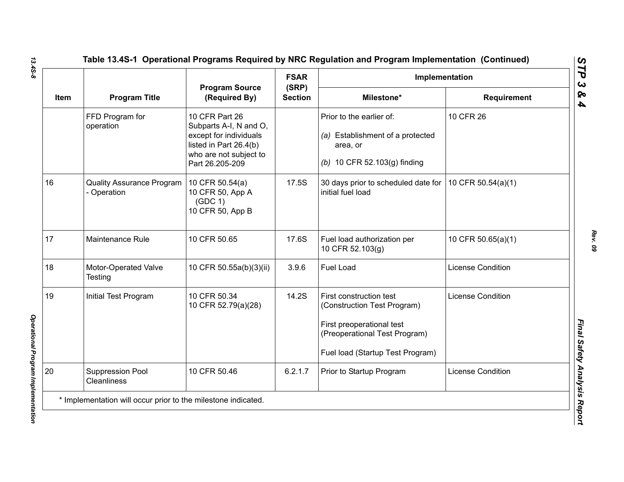|             |                                               |                                                                                                                                           | <b>FSAR</b>             | Implementation                                                                                                                                           |                          |
|-------------|-----------------------------------------------|-------------------------------------------------------------------------------------------------------------------------------------------|-------------------------|----------------------------------------------------------------------------------------------------------------------------------------------------------|--------------------------|
| <b>Item</b> | <b>Program Title</b>                          | <b>Program Source</b><br>(Required By)                                                                                                    | (SRP)<br><b>Section</b> | Milestone*                                                                                                                                               | <b>Requirement</b>       |
|             | FFD Program for<br>operation                  | 10 CFR Part 26<br>Subparts A-I, N and O,<br>except for individuals<br>listed in Part 26.4(b)<br>who are not subject to<br>Part 26.205-209 |                         | Prior to the earlier of:<br>(a) Establishment of a protected<br>area, or<br>(b) 10 CFR 52.103(g) finding                                                 | 10 CFR 26                |
| 16          | <b>Quality Assurance Program</b><br>Operation | 10 CFR 50.54(a)<br>10 CFR 50, App A<br>(GDC 1)<br>10 CFR 50, App B                                                                        | 17.5S                   | 30 days prior to scheduled date for<br>initial fuel load                                                                                                 | 10 CFR 50.54(a)(1)       |
| 17          | Maintenance Rule                              | 10 CFR 50.65                                                                                                                              | 17.6S                   | Fuel load authorization per<br>10 CFR 52.103(g)                                                                                                          | 10 CFR 50.65(a)(1)       |
| 18          | Motor-Operated Valve<br><b>Testing</b>        | 10 CFR 50.55a(b)(3)(ii)                                                                                                                   | 3.9.6                   | <b>Fuel Load</b>                                                                                                                                         | <b>License Condition</b> |
| 19          | Initial Test Program                          | 10 CFR 50.34<br>10 CFR 52.79(a)(28)                                                                                                       | 14.2S                   | First construction test<br>(Construction Test Program)<br>First preoperational test<br>(Preoperational Test Program)<br>Fuel load (Startup Test Program) | <b>License Condition</b> |
| 20          | Suppression Pool<br><b>Cleanliness</b>        | 10 CFR 50.46                                                                                                                              | 6.2.1.7                 | Prior to Startup Program                                                                                                                                 | <b>License Condition</b> |